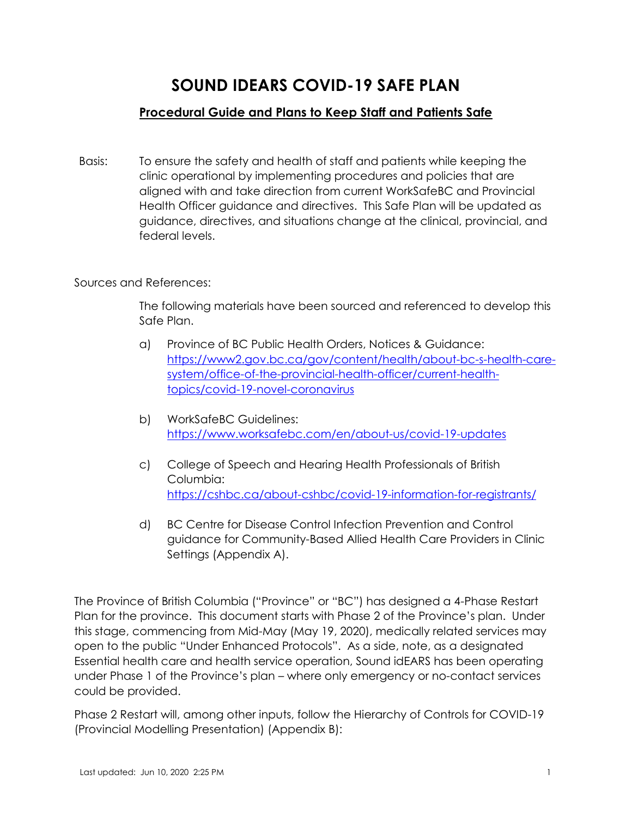# **SOUND IDEARS COVID-19 SAFE PLAN**

### **Procedural Guide and Plans to Keep Staff and Patients Safe**

Basis: To ensure the safety and health of staff and patients while keeping the clinic operational by implementing procedures and policies that are aligned with and take direction from current WorkSafeBC and Provincial Health Officer guidance and directives. This Safe Plan will be updated as guidance, directives, and situations change at the clinical, provincial, and federal levels.

#### Sources and References:

The following materials have been sourced and referenced to develop this Safe Plan.

- a) Province of BC Public Health Orders, Notices & Guidance: [https://www2.gov.bc.ca/gov/content/health/about-bc-s-health-care](https://www2.gov.bc.ca/gov/content/health/about-bc-s-health-care-system/office-of-the-provincial-health-officer/current-health-topics/covid-19-novel-coronavirus)[system/office-of-the-provincial-health-officer/current-health](https://www2.gov.bc.ca/gov/content/health/about-bc-s-health-care-system/office-of-the-provincial-health-officer/current-health-topics/covid-19-novel-coronavirus)[topics/covid-19-novel-coronavirus](https://www2.gov.bc.ca/gov/content/health/about-bc-s-health-care-system/office-of-the-provincial-health-officer/current-health-topics/covid-19-novel-coronavirus)
- b) WorkSafeBC Guidelines: <https://www.worksafebc.com/en/about-us/covid-19-updates>
- c) College of Speech and Hearing Health Professionals of British Columbia: <https://cshbc.ca/about-cshbc/covid-19-information-for-registrants/>
- d) BC Centre for Disease Control Infection Prevention and Control guidance for Community-Based Allied Health Care Providers in Clinic Settings (Appendix A).

The Province of British Columbia ("Province" or "BC") has designed a 4-Phase Restart Plan for the province. This document starts with Phase 2 of the Province's plan. Under this stage, commencing from Mid-May (May 19, 2020), medically related services may open to the public "Under Enhanced Protocols". As a side, note, as a designated Essential health care and health service operation, Sound idEARS has been operating under Phase 1 of the Province's plan – where only emergency or no-contact services could be provided.

Phase 2 Restart will, among other inputs, follow the Hierarchy of Controls for COVID-19 (Provincial Modelling Presentation) (Appendix B):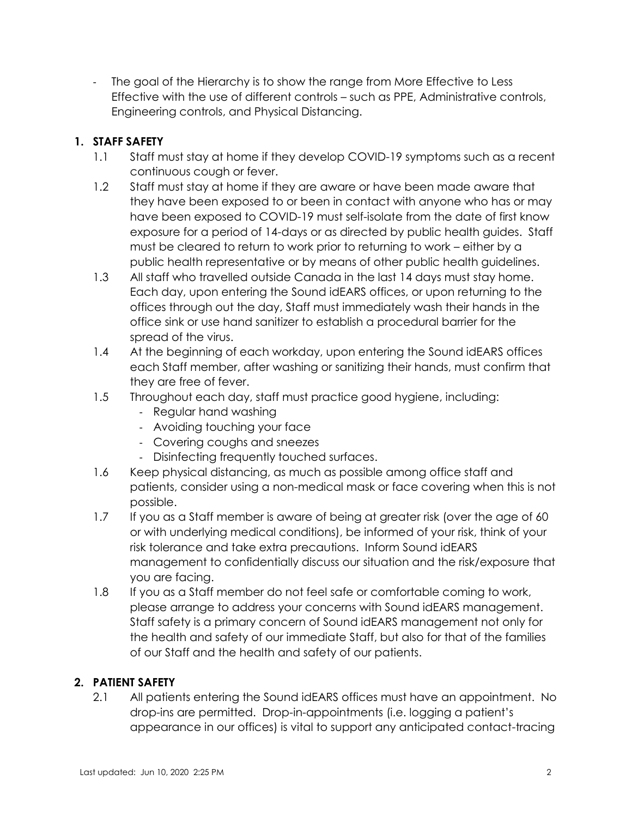The goal of the Hierarchy is to show the range from More Effective to Less Effective with the use of different controls – such as PPE, Administrative controls, Engineering controls, and Physical Distancing.

### **1. STAFF SAFETY**

- 1.1 Staff must stay at home if they develop COVID-19 symptoms such as a recent continuous cough or fever.
- 1.2 Staff must stay at home if they are aware or have been made aware that they have been exposed to or been in contact with anyone who has or may have been exposed to COVID-19 must self-isolate from the date of first know exposure for a period of 14-days or as directed by public health guides. Staff must be cleared to return to work prior to returning to work – either by a public health representative or by means of other public health guidelines.
- 1.3 All staff who travelled outside Canada in the last 14 days must stay home. Each day, upon entering the Sound idEARS offices, or upon returning to the offices through out the day, Staff must immediately wash their hands in the office sink or use hand sanitizer to establish a procedural barrier for the spread of the virus.
- 1.4 At the beginning of each workday, upon entering the Sound idEARS offices each Staff member, after washing or sanitizing their hands, must confirm that they are free of fever.
- 1.5 Throughout each day, staff must practice good hygiene, including:
	- Regular hand washing
	- Avoiding touching your face
	- Covering coughs and sneezes
	- Disinfecting frequently touched surfaces.
- 1.6 Keep physical distancing, as much as possible among office staff and patients, consider using a non-medical mask or face covering when this is not possible.
- 1.7 If you as a Staff member is aware of being at greater risk (over the age of 60 or with underlying medical conditions), be informed of your risk, think of your risk tolerance and take extra precautions. Inform Sound idEARS management to confidentially discuss our situation and the risk/exposure that you are facing.
- 1.8 If you as a Staff member do not feel safe or comfortable coming to work, please arrange to address your concerns with Sound idEARS management. Staff safety is a primary concern of Sound idEARS management not only for the health and safety of our immediate Staff, but also for that of the families of our Staff and the health and safety of our patients.

## **2. PATIENT SAFETY**

2.1 All patients entering the Sound idEARS offices must have an appointment. No drop-ins are permitted. Drop-in-appointments (i.e. logging a patient's appearance in our offices) is vital to support any anticipated contact-tracing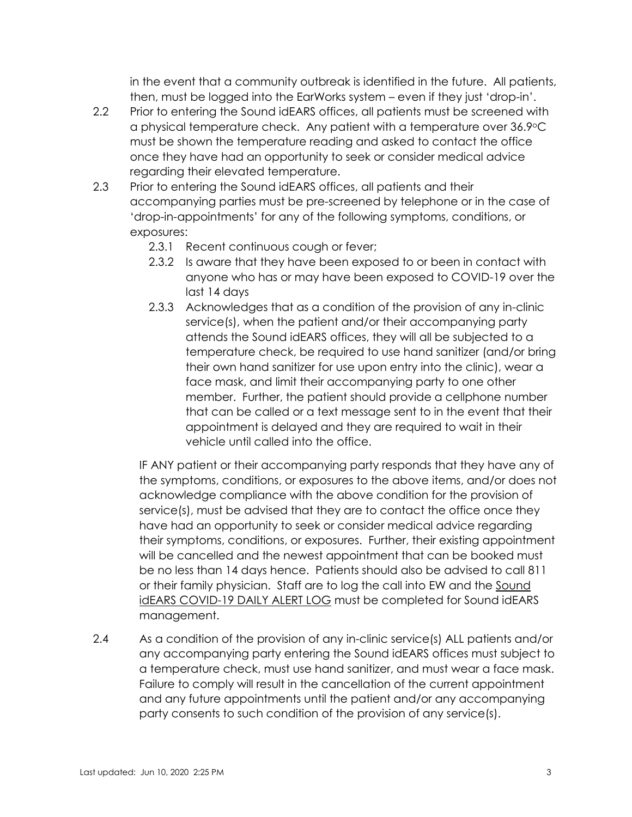in the event that a community outbreak is identified in the future. All patients, then, must be logged into the EarWorks system – even if they just 'drop-in'.

- 2.2 Prior to entering the Sound idEARS offices, all patients must be screened with a physical temperature check. Any patient with a temperature over 36.9oC must be shown the temperature reading and asked to contact the office once they have had an opportunity to seek or consider medical advice regarding their elevated temperature.
- 2.3 Prior to entering the Sound idEARS offices, all patients and their accompanying parties must be pre-screened by telephone or in the case of 'drop-in-appointments' for any of the following symptoms, conditions, or exposures:
	- 2.3.1 Recent continuous cough or fever;
	- 2.3.2 Is aware that they have been exposed to or been in contact with anyone who has or may have been exposed to COVID-19 over the last 14 days
	- 2.3.3 Acknowledges that as a condition of the provision of any in-clinic service(s), when the patient and/or their accompanying party attends the Sound idEARS offices, they will all be subjected to a temperature check, be required to use hand sanitizer (and/or bring their own hand sanitizer for use upon entry into the clinic), wear a face mask, and limit their accompanying party to one other member. Further, the patient should provide a cellphone number that can be called or a text message sent to in the event that their appointment is delayed and they are required to wait in their vehicle until called into the office.

IF ANY patient or their accompanying party responds that they have any of the symptoms, conditions, or exposures to the above items, and/or does not acknowledge compliance with the above condition for the provision of service(s), must be advised that they are to contact the office once they have had an opportunity to seek or consider medical advice regarding their symptoms, conditions, or exposures. Further, their existing appointment will be cancelled and the newest appointment that can be booked must be no less than 14 days hence. Patients should also be advised to call 811 or their family physician. Staff are to log the call into EW and the Sound idEARS COVID-19 DAILY ALERT LOG must be completed for Sound idEARS management.

2.4 As a condition of the provision of any in-clinic service(s) ALL patients and/or any accompanying party entering the Sound idEARS offices must subject to a temperature check, must use hand sanitizer, and must wear a face mask. Failure to comply will result in the cancellation of the current appointment and any future appointments until the patient and/or any accompanying party consents to such condition of the provision of any service(s).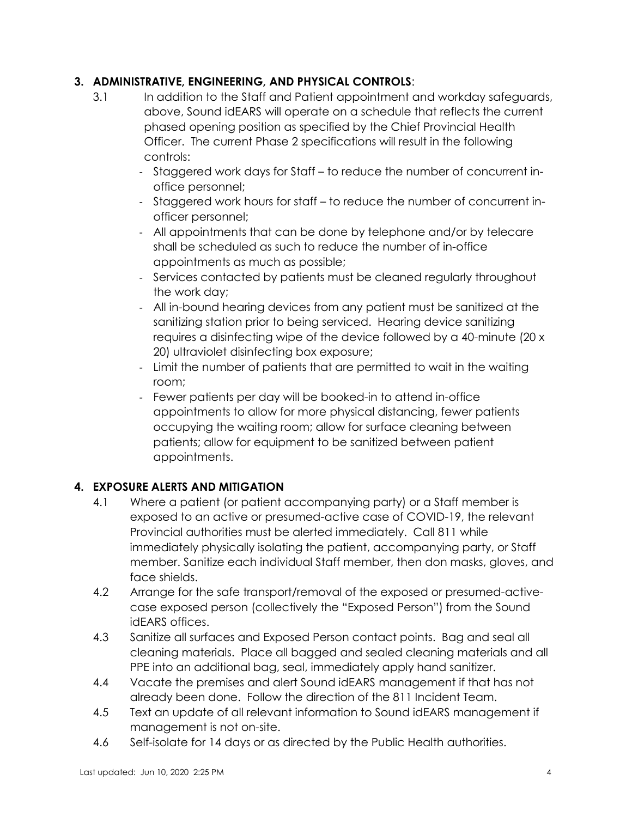#### **3. ADMINISTRATIVE, ENGINEERING, AND PHYSICAL CONTROLS**:

- 3.1 In addition to the Staff and Patient appointment and workday safeguards, above, Sound idEARS will operate on a schedule that reflects the current phased opening position as specified by the Chief Provincial Health Officer. The current Phase 2 specifications will result in the following controls:
	- Staggered work days for Staff to reduce the number of concurrent inoffice personnel;
	- Staggered work hours for staff to reduce the number of concurrent inofficer personnel;
	- All appointments that can be done by telephone and/or by telecare shall be scheduled as such to reduce the number of in-office appointments as much as possible;
	- Services contacted by patients must be cleaned regularly throughout the work day;
	- All in-bound hearing devices from any patient must be sanitized at the sanitizing station prior to being serviced. Hearing device sanitizing requires a disinfecting wipe of the device followed by a 40-minute (20 x 20) ultraviolet disinfecting box exposure;
	- Limit the number of patients that are permitted to wait in the waiting room;
	- Fewer patients per day will be booked-in to attend in-office appointments to allow for more physical distancing, fewer patients occupying the waiting room; allow for surface cleaning between patients; allow for equipment to be sanitized between patient appointments.

#### **4. EXPOSURE ALERTS AND MITIGATION**

- 4.1 Where a patient (or patient accompanying party) or a Staff member is exposed to an active or presumed-active case of COVID-19, the relevant Provincial authorities must be alerted immediately. Call 811 while immediately physically isolating the patient, accompanying party, or Staff member. Sanitize each individual Staff member, then don masks, gloves, and face shields.
- 4.2 Arrange for the safe transport/removal of the exposed or presumed-activecase exposed person (collectively the "Exposed Person") from the Sound idEARS offices.
- 4.3 Sanitize all surfaces and Exposed Person contact points. Bag and seal all cleaning materials. Place all bagged and sealed cleaning materials and all PPE into an additional bag, seal, immediately apply hand sanitizer.
- 4.4 Vacate the premises and alert Sound idEARS management if that has not already been done. Follow the direction of the 811 Incident Team.
- 4.5 Text an update of all relevant information to Sound idEARS management if management is not on-site.
- 4.6 Self-isolate for 14 days or as directed by the Public Health authorities.